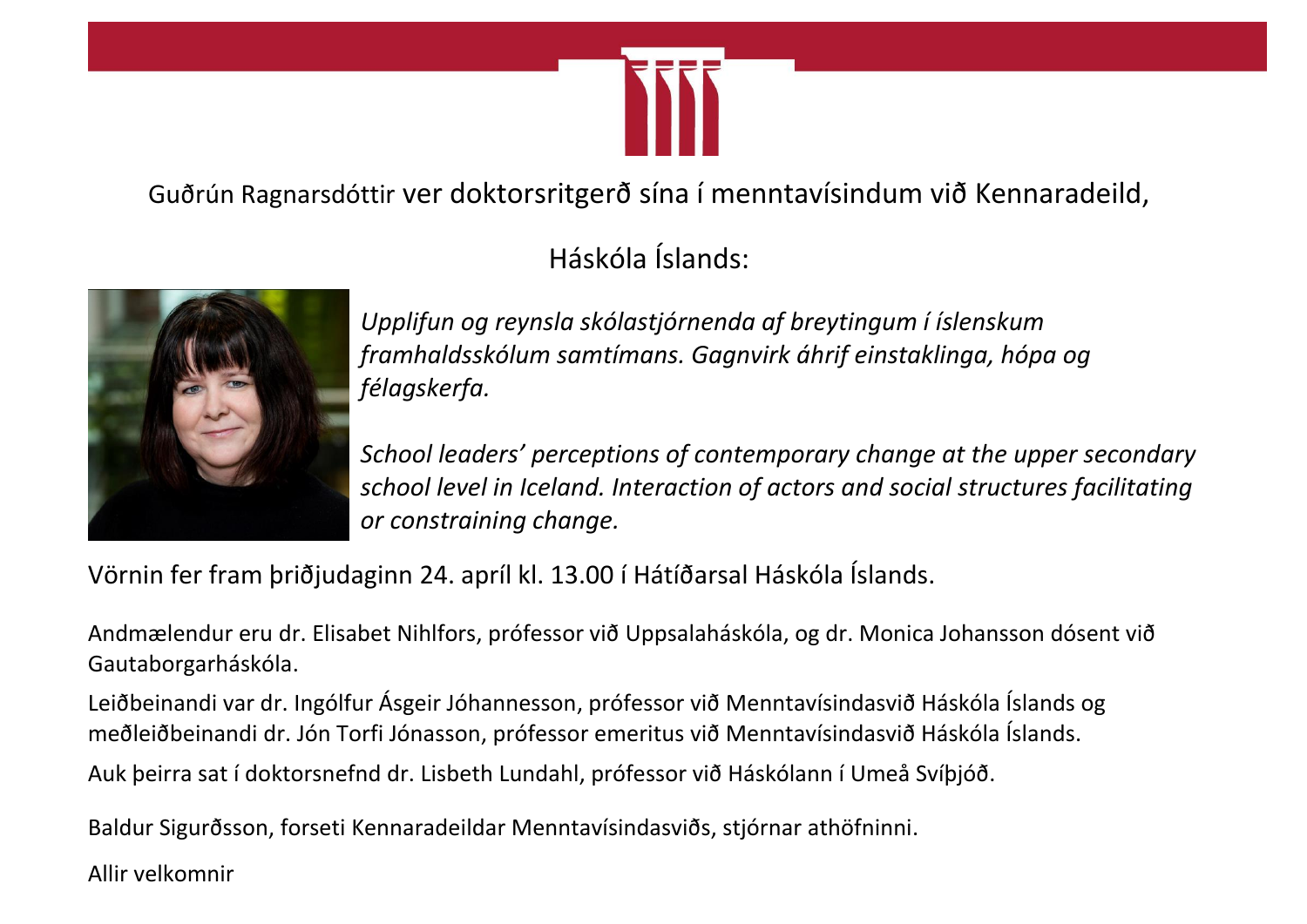

Guðrún Ragnarsdóttir ver doktorsritgerð sína í menntavísindum við Kennaradeild,

Háskóla Íslands:



*Upplifun og reynsla skólastjórnenda af breytingum í íslenskum framhaldsskólum samtímans. Gagnvirk áhrif einstaklinga, hópa og félagskerfa.*

*School leaders' perceptions of contemporary change at the upper secondary school level in Iceland. Interaction of actors and social structures facilitating or constraining change.*

Vörnin fer fram þriðjudaginn 24. apríl kl. 13.00 í Hátíðarsal Háskóla Íslands.

Andmælendur eru dr. Elisabet Nihlfors, prófessor við Uppsalaháskóla, og dr. Monica Johansson dósent við Gautaborgarháskóla.

Leiðbeinandi var dr. Ingólfur Ásgeir Jóhannesson, prófessor við Menntavísindasvið Háskóla Íslands og meðleiðbeinandi dr. Jón Torfi Jónasson, prófessor emeritus við Menntavísindasvið Háskóla Íslands.

Auk þeirra sat í doktorsnefnd dr. Lisbeth Lundahl, prófessor við Háskólann í Umeå Svíþjóð.

Baldur Sigurðsson, forseti Kennaradeildar Menntavísindasviðs, stjórnar athöfninni.

Allir velkomnir